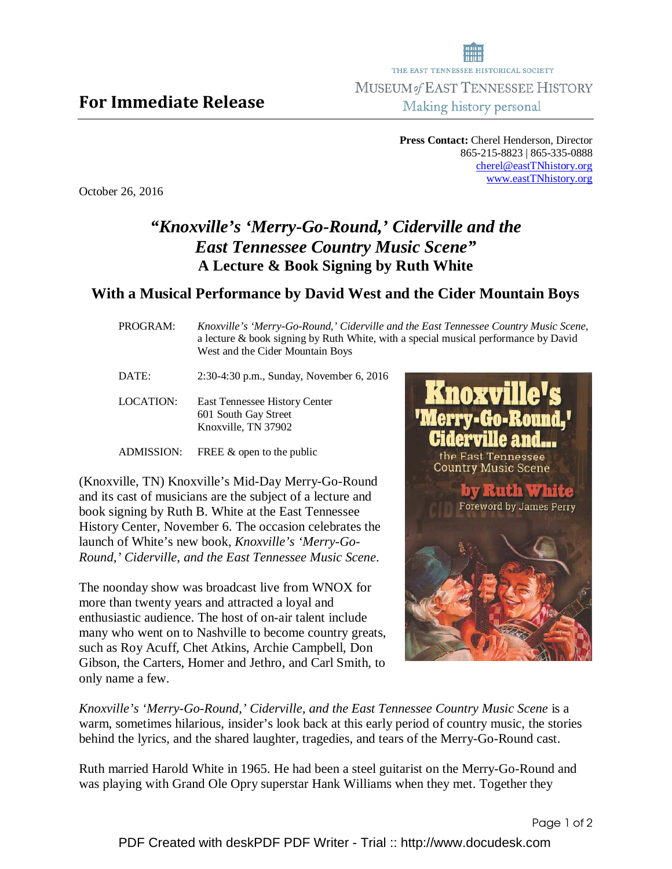THE EAST TENNESSEE HISTORICAL SOCIETY MUSEUM of EAST TENNESSEE HISTORY Making history personal

> **Press Contact:** Cherel Henderson, Director 865-215-8823 | 865-335-0888 cherel@eastTNhistory.org www.eastTNhistory.org

October 26, 2016

## *"Knoxville's 'Merry-Go-Round,' Ciderville and the East Tennessee Country Music Scene"*  **A Lecture & Book Signing by Ruth White**

## **With a Musical Performance by David West and the Cider Mountain Boys**

PROGRAM:*Knoxville's 'Merry-Go-Round,' Ciderville and the East Tennessee Country Music Scene,* a lecture & book signing by Ruth White, with a special musical performance by David West and the Cider Mountain Boys

DATE: 2:30-4:30 p.m., Sunday, November 6, 2016

LOCATION: East Tennessee History Center 601 South Gay Street Knoxville, TN 37902

ADMISSION: FREE & open to the public

(Knoxville, TN) Knoxville's Mid-Day Merry-Go-Round and its cast of musicians are the subject of a lecture and book signing by Ruth B. White at the East Tennessee History Center, November 6. The occasion celebrates the launch of White's new book, *Knoxville's 'Merry-Go-Round,' Ciderville, and the East Tennessee Music Scene*.

The noonday show was broadcast live from WNOX for more than twenty years and attracted a loyal and enthusiastic audience. The host of on-air talent include many who went on to Nashville to become country greats, such as Roy Acuff, Chet Atkins, Archie Campbell, Don Gibson, the Carters, Homer and Jethro, and Carl Smith, to only name a few.



*Knoxville's 'Merry-Go-Round,' Ciderville, and the East Tennessee Country Music Scene* is a warm, sometimes hilarious, insider's look back at this early period of country music, the stories behind the lyrics, and the shared laughter, tragedies, and tears of the Merry-Go-Round cast.

Ruth married Harold White in 1965. He had been a steel guitarist on the Merry-Go-Round and was playing with Grand Ole Opry superstar Hank Williams when they met. Together they